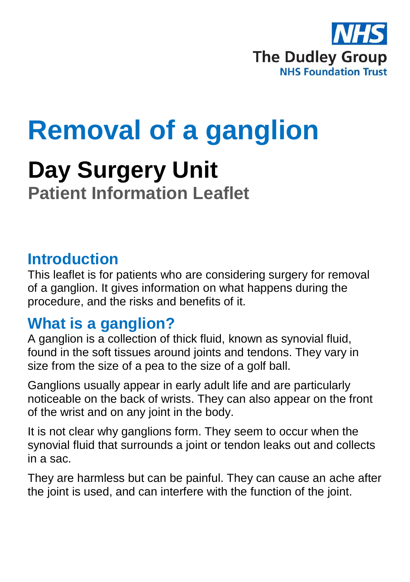

# **Removal of a ganglion**

## **Day Surgery Unit Patient Information Leaflet**

#### **Introduction**

This leaflet is for patients who are considering surgery for removal of a ganglion. It gives information on what happens during the procedure, and the risks and benefits of it.

#### **What is a ganglion?**

A ganglion is a collection of thick fluid, known as synovial fluid, found in the soft tissues around joints and tendons. They vary in size from the size of a pea to the size of a golf ball.

Ganglions usually appear in early adult life and are particularly noticeable on the back of wrists. They can also appear on the front of the wrist and on any joint in the body.

It is not clear why ganglions form. They seem to occur when the synovial fluid that surrounds a joint or tendon leaks out and collects in a sac.

They are harmless but can be painful. They can cause an ache after the joint is used, and can interfere with the function of the joint.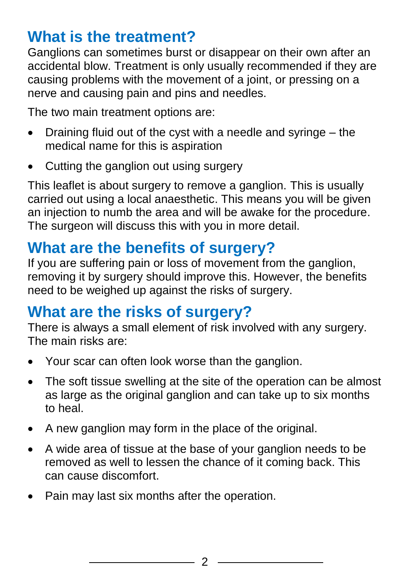### **What is the treatment?**

Ganglions can sometimes burst or disappear on their own after an accidental blow. Treatment is only usually recommended if they are causing problems with the movement of a joint, or pressing on a nerve and causing pain and pins and needles.

The two main treatment options are:

- $\bullet$  Draining fluid out of the cyst with a needle and syringe  $-$  the medical name for this is aspiration
- Cutting the ganglion out using surgery

This leaflet is about surgery to remove a ganglion. This is usually carried out using a local anaesthetic. This means you will be given an injection to numb the area and will be awake for the procedure. The surgeon will discuss this with you in more detail.

#### **What are the benefits of surgery?**

If you are suffering pain or loss of movement from the ganglion, removing it by surgery should improve this. However, the benefits need to be weighed up against the risks of surgery.

#### **What are the risks of surgery?**

There is always a small element of risk involved with any surgery. The main risks are:

- Your scar can often look worse than the ganglion.
- The soft tissue swelling at the site of the operation can be almost as large as the original ganglion and can take up to six months to heal.
- A new ganglion may form in the place of the original.
- A wide area of tissue at the base of your ganglion needs to be removed as well to lessen the chance of it coming back. This can cause discomfort.
- Pain may last six months after the operation.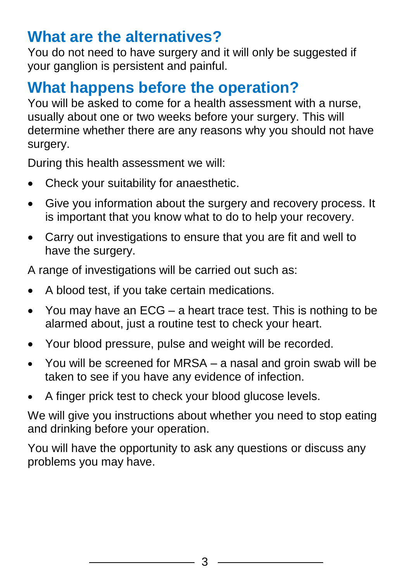#### **What are the alternatives?**

You do not need to have surgery and it will only be suggested if your ganglion is persistent and painful.

#### **What happens before the operation?**

You will be asked to come for a health assessment with a nurse. usually about one or two weeks before your surgery. This will determine whether there are any reasons why you should not have surgery.

During this health assessment we will:

- Check your suitability for anaesthetic.
- Give you information about the surgery and recovery process. It is important that you know what to do to help your recovery.
- Carry out investigations to ensure that you are fit and well to have the surgery.

A range of investigations will be carried out such as:

- A blood test, if you take certain medications.
- You may have an ECG a heart trace test. This is nothing to be alarmed about, just a routine test to check your heart.
- Your blood pressure, pulse and weight will be recorded.
- You will be screened for MRSA a nasal and groin swab will be taken to see if you have any evidence of infection.
- A finger prick test to check your blood glucose levels.

We will give you instructions about whether you need to stop eating and drinking before your operation.

You will have the opportunity to ask any questions or discuss any problems you may have.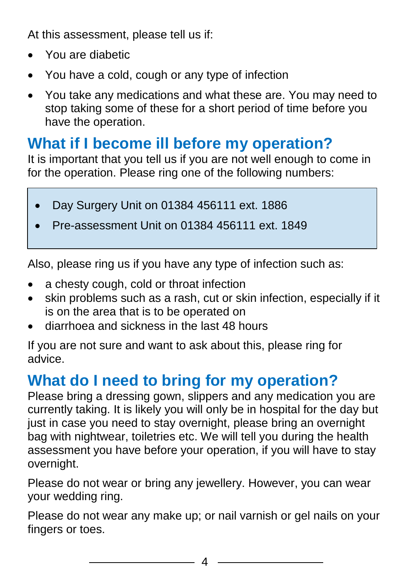At this assessment, please tell us if:

- You are diabetic
- You have a cold, cough or any type of infection
- You take any medications and what these are. You may need to stop taking some of these for a short period of time before you have the operation.

#### **What if I become ill before my operation?**

It is important that you tell us if you are not well enough to come in for the operation. Please ring one of the following numbers:

- Day Surgery Unit on 01384 456111 ext. 1886
- Pre-assessment Unit on 01384 456111 ext. 1849

Also, please ring us if you have any type of infection such as:

- a chesty cough, cold or throat infection
- skin problems such as a rash, cut or skin infection, especially if it is on the area that is to be operated on
- diarrhoea and sickness in the last 48 hours

If you are not sure and want to ask about this, please ring for advice.

## **What do I need to bring for my operation?**

Please bring a dressing gown, slippers and any medication you are currently taking. It is likely you will only be in hospital for the day but just in case you need to stay overnight, please bring an overnight bag with nightwear, toiletries etc. We will tell you during the health assessment you have before your operation, if you will have to stay overnight.

Please do not wear or bring any jewellery. However, you can wear your wedding ring.

Please do not wear any make up; or nail varnish or gel nails on your fingers or toes.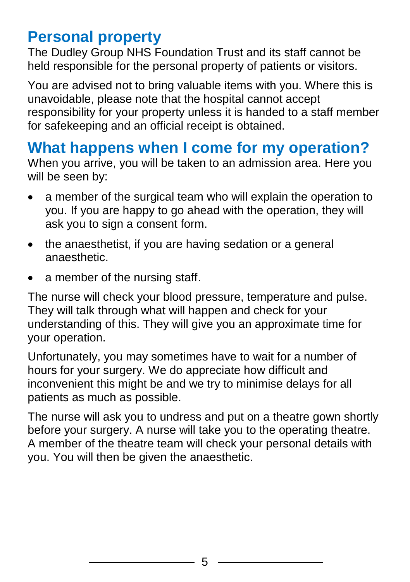#### **Personal property**

The Dudley Group NHS Foundation Trust and its staff cannot be held responsible for the personal property of patients or visitors.

You are advised not to bring valuable items with you. Where this is unavoidable, please note that the hospital cannot accept responsibility for your property unless it is handed to a staff member for safekeeping and an official receipt is obtained.

#### **What happens when I come for my operation?**

When you arrive, you will be taken to an admission area. Here you will be seen by:

- a member of the surgical team who will explain the operation to you. If you are happy to go ahead with the operation, they will ask you to sign a consent form.
- the anaesthetist, if you are having sedation or a general anaesthetic.
- a member of the nursing staff.

The nurse will check your blood pressure, temperature and pulse. They will talk through what will happen and check for your understanding of this. They will give you an approximate time for your operation.

Unfortunately, you may sometimes have to wait for a number of hours for your surgery. We do appreciate how difficult and inconvenient this might be and we try to minimise delays for all patients as much as possible.

The nurse will ask you to undress and put on a theatre gown shortly before your surgery. A nurse will take you to the operating theatre. A member of the theatre team will check your personal details with you. You will then be given the anaesthetic.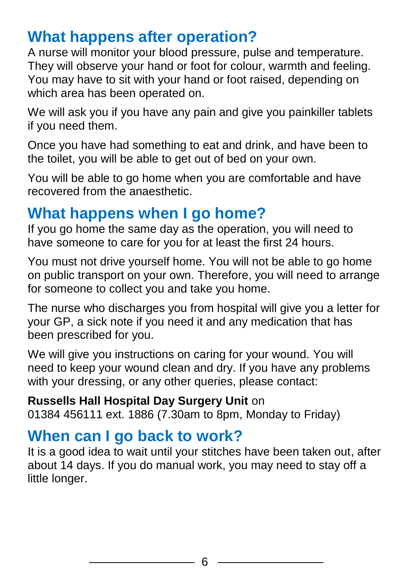#### **What happens after operation?**

A nurse will monitor your blood pressure, pulse and temperature. They will observe your hand or foot for colour, warmth and feeling. You may have to sit with your hand or foot raised, depending on which area has been operated on.

We will ask you if you have any pain and give you painkiller tablets if you need them.

Once you have had something to eat and drink, and have been to the toilet, you will be able to get out of bed on your own.

You will be able to go home when you are comfortable and have recovered from the anaesthetic.

## **What happens when I go home?**

If you go home the same day as the operation, you will need to have someone to care for you for at least the first 24 hours.

You must not drive yourself home. You will not be able to go home on public transport on your own. Therefore, you will need to arrange for someone to collect you and take you home.

The nurse who discharges you from hospital will give you a letter for your GP, a sick note if you need it and any medication that has been prescribed for you.

We will give you instructions on caring for your wound. You will need to keep your wound clean and dry. If you have any problems with your dressing, or any other queries, please contact:

## **Russells Hall Hospital Day Surgery Unit** on

01384 456111 ext. 1886 (7.30am to 8pm, Monday to Friday)

### **When can I go back to work?**

It is a good idea to wait until your stitches have been taken out, after about 14 days. If you do manual work, you may need to stay off a little longer.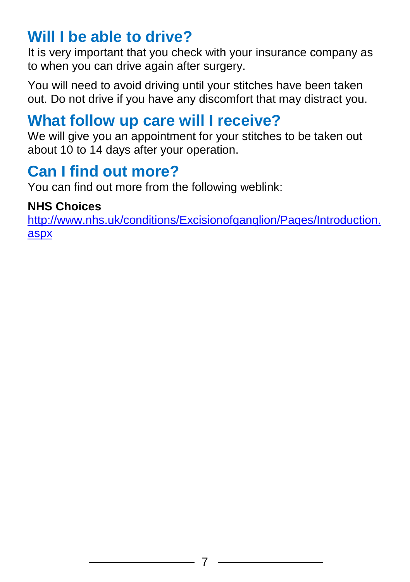#### **Will I be able to drive?**

It is very important that you check with your insurance company as to when you can drive again after surgery.

You will need to avoid driving until your stitches have been taken out. Do not drive if you have any discomfort that may distract you.

#### **What follow up care will I receive?**

We will give you an appointment for your stitches to be taken out about 10 to 14 days after your operation.

#### **Can I find out more?**

You can find out more from the following weblink:

#### **NHS Choices**

[http://www.nhs.uk/conditions/Excisionofganglion/Pages/Introduction.](http://www.nhs.uk/conditions/Excisionofganglion/Pages/Introduction.aspx) [aspx](http://www.nhs.uk/conditions/Excisionofganglion/Pages/Introduction.aspx)